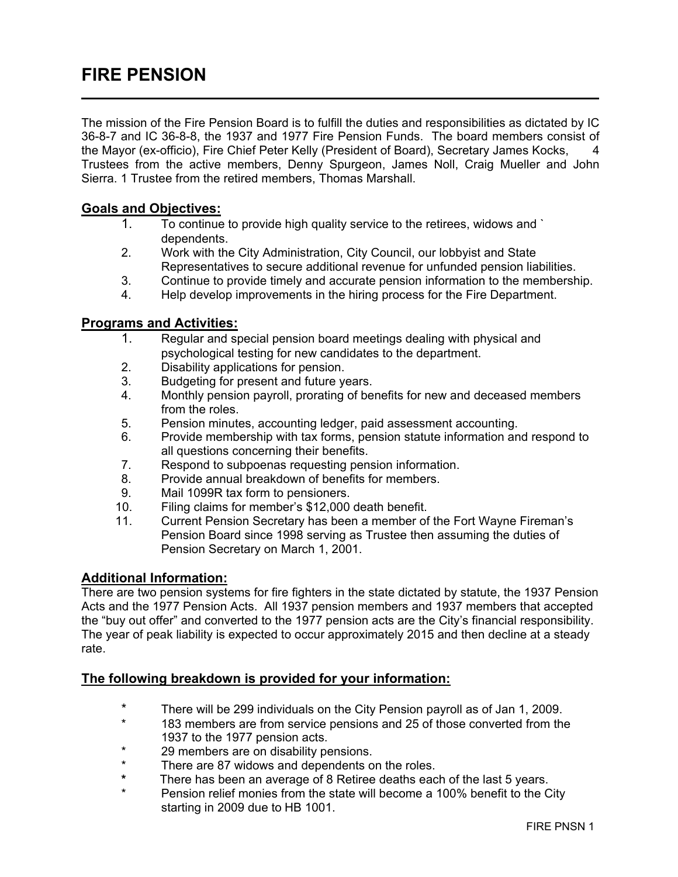# FIRE PENSION

The mission of the Fire Pension Board is to fulfill the duties and responsibilities as dictated by IC 36-8-7 and IC 36-8-8, the 1937 and 1977 Fire Pension Funds. The board members consist of the Mayor (ex-officio), Fire Chief Peter Kelly (President of Board), Secretary James Kocks, 4 Trustees from the active members, Denny Spurgeon, James Noll, Craig Mueller and John Sierra. 1 Trustee from the retired members, Thomas Marshall.

## Goals and Objectives:

- 1. To continue to provide high quality service to the retirees, widows and ` dependents.
- 2. Work with the City Administration, City Council, our lobbyist and State Representatives to secure additional revenue for unfunded pension liabilities.
- 3. Continue to provide timely and accurate pension information to the membership.
- 4. Help develop improvements in the hiring process for the Fire Department.

#### Programs and Activities:

- 1. Regular and special pension board meetings dealing with physical and psychological testing for new candidates to the department.
- 2. Disability applications for pension.
- 3. Budgeting for present and future years.
- 4. Monthly pension payroll, prorating of benefits for new and deceased members from the roles.
- 5. Pension minutes, accounting ledger, paid assessment accounting.
- 6. Provide membership with tax forms, pension statute information and respond to all questions concerning their benefits.
- 7. Respond to subpoenas requesting pension information.
- 8. Provide annual breakdown of benefits for members.<br>9. Mail 1099R tax form to pensioners.
- Mail 1099R tax form to pensioners.
- 10. Filing claims for member's \$12,000 death benefit.
- 11. Current Pension Secretary has been a member of the Fort Wayne Fireman's Pension Board since 1998 serving as Trustee then assuming the duties of Pension Secretary on March 1, 2001.

## Additional Information:

There are two pension systems for fire fighters in the state dictated by statute, the 1937 Pension Acts and the 1977 Pension Acts. All 1937 pension members and 1937 members that accepted the "buy out offer" and converted to the 1977 pension acts are the City's financial responsibility. The year of peak liability is expected to occur approximately 2015 and then decline at a steady rate.

#### The following breakdown is provided for your information:

- \* There will be 299 individuals on the City Pension payroll as of Jan 1, 2009.
- 183 members are from service pensions and 25 of those converted from the 1937 to the 1977 pension acts.
- \* 29 members are on disability pensions.<br>\* There are 87 widows and dependents of
- \* There are 87 widows and dependents on the roles.<br>\* There has been an average of 8 Petires deaths each
- There has been an average of 8 Retiree deaths each of the last 5 years.
- Pension relief monies from the state will become a 100% benefit to the City starting in 2009 due to HB 1001.